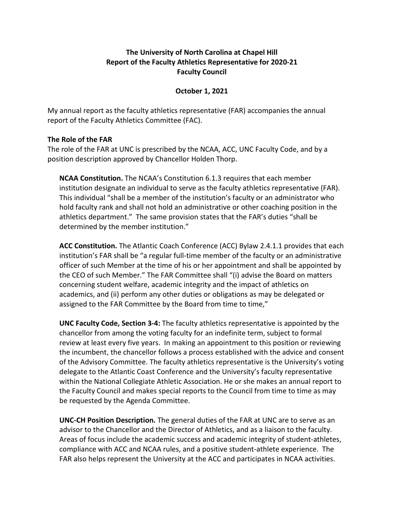## **The University of North Carolina at Chapel Hill Report of the Faculty Athletics Representative for 2020-21 Faculty Council**

## **October 1, 2021**

My annual report as the faculty athletics representative (FAR) accompanies the annual report of the Faculty Athletics Committee (FAC).

## **The Role of the FAR**

The role of the FAR at UNC is prescribed by the NCAA, ACC, UNC Faculty Code, and by a position description approved by Chancellor Holden Thorp.

**NCAA Constitution.** The NCAA's Constitution 6.1.3 requires that each member institution designate an individual to serve as the faculty athletics representative (FAR). This individual "shall be a member of the institution's faculty or an administrator who hold faculty rank and shall not hold an administrative or other coaching position in the athletics department." The same provision states that the FAR's duties "shall be determined by the member institution."

**ACC Constitution.** The Atlantic Coach Conference (ACC) Bylaw 2.4.1.1 provides that each institution's FAR shall be "a regular full-time member of the faculty or an administrative officer of such Member at the time of his or her appointment and shall be appointed by the CEO of such Member." The FAR Committee shall "(i) advise the Board on matters concerning student welfare, academic integrity and the impact of athletics on academics, and (ii) perform any other duties or obligations as may be delegated or assigned to the FAR Committee by the Board from time to time,"

**UNC Faculty Code, Section 3-4:** The faculty athletics representative is appointed by the chancellor from among the voting faculty for an indefinite term, subject to formal review at least every five years. In making an appointment to this position or reviewing the incumbent, the chancellor follows a process established with the advice and consent of the Advisory Committee. The faculty athletics representative is the University's voting delegate to the Atlantic Coast Conference and the University's faculty representative within the National Collegiate Athletic Association. He or she makes an annual report to the Faculty Council and makes special reports to the Council from time to time as may be requested by the Agenda Committee.

**UNC-CH Position Description.** The general duties of the FAR at UNC are to serve as an advisor to the Chancellor and the Director of Athletics, and as a liaison to the faculty. Areas of focus include the academic success and academic integrity of student-athletes, compliance with ACC and NCAA rules, and a positive student-athlete experience. The FAR also helps represent the University at the ACC and participates in NCAA activities.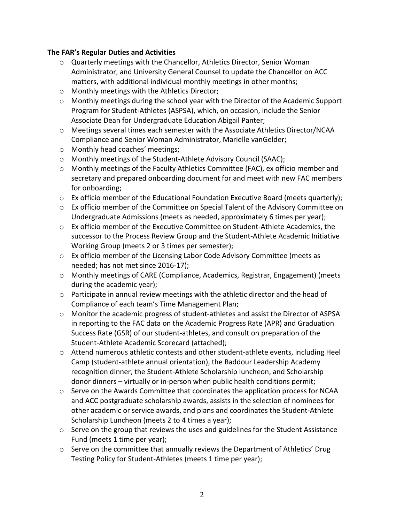## **The FAR's Regular Duties and Activities**

- o Quarterly meetings with the Chancellor, Athletics Director, Senior Woman Administrator, and University General Counsel to update the Chancellor on ACC matters, with additional individual monthly meetings in other months;
- o Monthly meetings with the Athletics Director;
- o Monthly meetings during the school year with the Director of the Academic Support Program for Student-Athletes (ASPSA), which, on occasion, include the Senior Associate Dean for Undergraduate Education Abigail Panter;
- o Meetings several times each semester with the Associate Athletics Director/NCAA Compliance and Senior Woman Administrator, Marielle vanGelder;
- o Monthly head coaches' meetings;
- o Monthly meetings of the Student-Athlete Advisory Council (SAAC);
- $\circ$  Monthly meetings of the Faculty Athletics Committee (FAC), ex officio member and secretary and prepared onboarding document for and meet with new FAC members for onboarding;
- o Ex officio member of the Educational Foundation Executive Board (meets quarterly);
- $\circ$  Ex officio member of the Committee on Special Talent of the Advisory Committee on Undergraduate Admissions (meets as needed, approximately 6 times per year);
- o Ex officio member of the Executive Committee on Student-Athlete Academics, the successor to the Process Review Group and the Student-Athlete Academic Initiative Working Group (meets 2 or 3 times per semester);
- o Ex officio member of the Licensing Labor Code Advisory Committee (meets as needed; has not met since 2016-17);
- o Monthly meetings of CARE (Compliance, Academics, Registrar, Engagement) (meets during the academic year);
- $\circ$  Participate in annual review meetings with the athletic director and the head of Compliance of each team's Time Management Plan;
- $\circ$  Monitor the academic progress of student-athletes and assist the Director of ASPSA in reporting to the FAC data on the Academic Progress Rate (APR) and Graduation Success Rate (GSR) of our student-athletes, and consult on preparation of the Student-Athlete Academic Scorecard (attached);
- o Attend numerous athletic contests and other student-athlete events, including Heel Camp (student-athlete annual orientation), the Baddour Leadership Academy recognition dinner, the Student-Athlete Scholarship luncheon, and Scholarship donor dinners – virtually or in-person when public health conditions permit;
- $\circ$  Serve on the Awards Committee that coordinates the application process for NCAA and ACC postgraduate scholarship awards, assists in the selection of nominees for other academic or service awards, and plans and coordinates the Student-Athlete Scholarship Luncheon (meets 2 to 4 times a year);
- o Serve on the group that reviews the uses and guidelines for the Student Assistance Fund (meets 1 time per year);
- $\circ$  Serve on the committee that annually reviews the Department of Athletics' Drug Testing Policy for Student-Athletes (meets 1 time per year);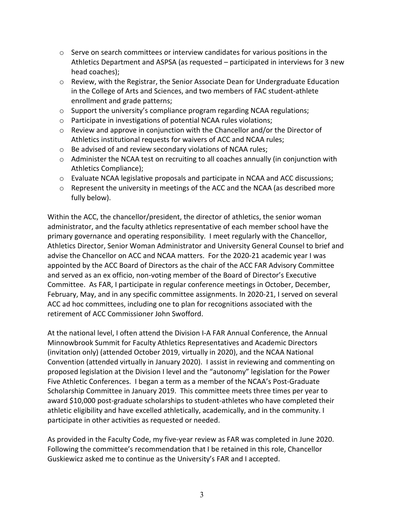- $\circ$  Serve on search committees or interview candidates for various positions in the Athletics Department and ASPSA (as requested – participated in interviews for 3 new head coaches);
- $\circ$  Review, with the Registrar, the Senior Associate Dean for Undergraduate Education in the College of Arts and Sciences, and two members of FAC student-athlete enrollment and grade patterns;
- $\circ$  Support the university's compliance program regarding NCAA regulations;
- o Participate in investigations of potential NCAA rules violations;
- $\circ$  Review and approve in conjunction with the Chancellor and/or the Director of Athletics institutional requests for waivers of ACC and NCAA rules;
- o Be advised of and review secondary violations of NCAA rules;
- $\circ$  Administer the NCAA test on recruiting to all coaches annually (in conjunction with Athletics Compliance);
- $\circ$  Evaluate NCAA legislative proposals and participate in NCAA and ACC discussions;
- $\circ$  Represent the university in meetings of the ACC and the NCAA (as described more fully below).

Within the ACC, the chancellor/president, the director of athletics, the senior woman administrator, and the faculty athletics representative of each member school have the primary governance and operating responsibility. I meet regularly with the Chancellor, Athletics Director, Senior Woman Administrator and University General Counsel to brief and advise the Chancellor on ACC and NCAA matters. For the 2020-21 academic year I was appointed by the ACC Board of Directors as the chair of the ACC FAR Advisory Committee and served as an ex officio, non-voting member of the Board of Director's Executive Committee. As FAR, I participate in regular conference meetings in October, December, February, May, and in any specific committee assignments. In 2020-21, I served on several ACC ad hoc committees, including one to plan for recognitions associated with the retirement of ACC Commissioner John Swofford.

At the national level, I often attend the Division I-A FAR Annual Conference, the Annual Minnowbrook Summit for Faculty Athletics Representatives and Academic Directors (invitation only) (attended October 2019, virtually in 2020), and the NCAA National Convention (attended virtually in January 2020). I assist in reviewing and commenting on proposed legislation at the Division I level and the "autonomy" legislation for the Power Five Athletic Conferences. I began a term as a member of the NCAA's Post-Graduate Scholarship Committee in January 2019. This committee meets three times per year to award \$10,000 post-graduate scholarships to student-athletes who have completed their athletic eligibility and have excelled athletically, academically, and in the community. I participate in other activities as requested or needed.

As provided in the Faculty Code, my five-year review as FAR was completed in June 2020. Following the committee's recommendation that I be retained in this role, Chancellor Guskiewicz asked me to continue as the University's FAR and I accepted.